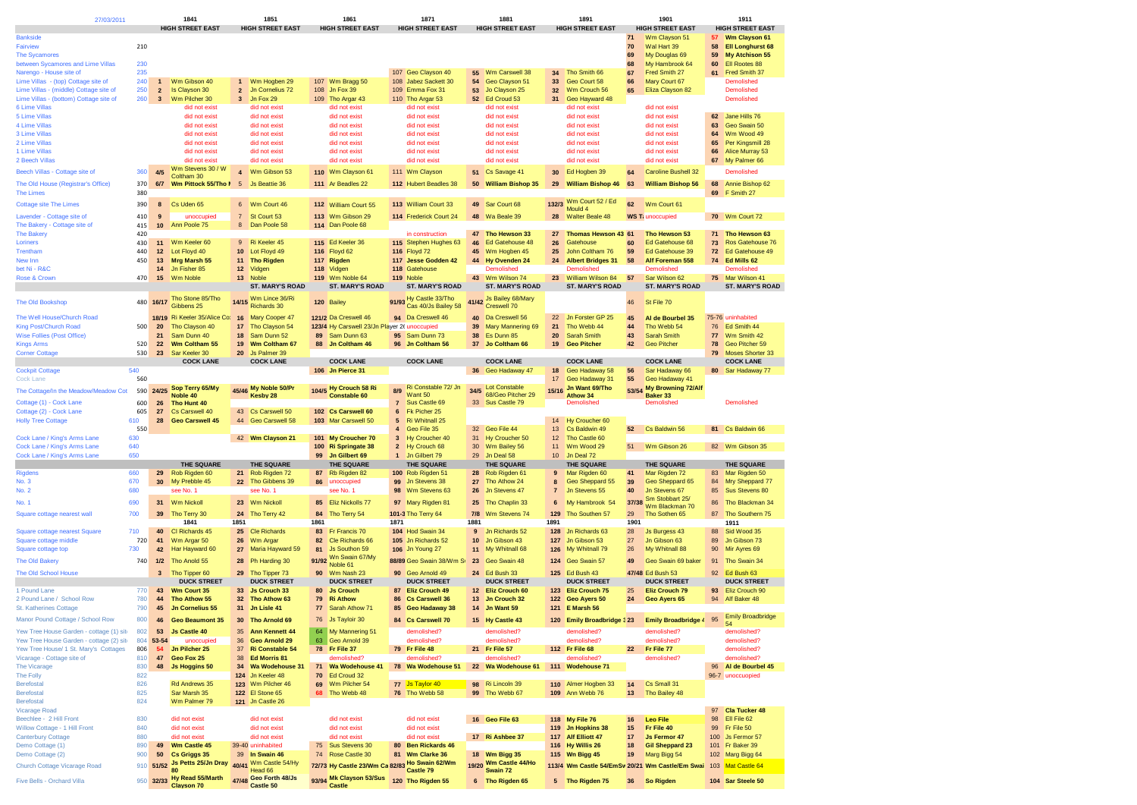| 27/03/2011                                                                        |            |                 | 1841                                              |                | 1851                                      |            | 1861                                                                 |                     | 1871                                       |                  | 1881                                        |                 | 1891                                     |            | 1901                                            |          | 1911                                            |
|-----------------------------------------------------------------------------------|------------|-----------------|---------------------------------------------------|----------------|-------------------------------------------|------------|----------------------------------------------------------------------|---------------------|--------------------------------------------|------------------|---------------------------------------------|-----------------|------------------------------------------|------------|-------------------------------------------------|----------|-------------------------------------------------|
|                                                                                   |            |                 | <b>HIGH STREET EAST</b>                           |                | <b>HIGH STREET EAST</b>                   |            | <b>HIGH STREET EAST</b>                                              |                     | <b>HIGH STREET EAST</b>                    |                  | <b>HIGH STREET EAST</b>                     |                 | <b>HIGH STREET EAST</b>                  |            | <b>HIGH STREET EAST</b>                         |          | <b>HIGH STREET EAST</b>                         |
| <b>Bankside</b><br>Fairview                                                       | 210        |                 |                                                   |                |                                           |            |                                                                      |                     |                                            |                  |                                             |                 |                                          | 71<br>70   | Wm Clayson 51<br>Wal Hart 39                    | 57<br>58 | <b>Wm Clayson 61</b><br><b>Ell Longhurst 68</b> |
| <b>The Sycamores</b>                                                              |            |                 |                                                   |                |                                           |            |                                                                      |                     |                                            |                  |                                             |                 |                                          | 69         | My Douglas 69                                   | 59       | My Atchison 55                                  |
| between Sycamores and Lime Villas                                                 | 230        |                 |                                                   |                |                                           |            |                                                                      |                     |                                            |                  |                                             |                 |                                          | 68         | My Hambrook 64                                  | 60       | Ell Rootes 88                                   |
| Narengo - House site of<br>Lime Villas - (top) Cottage site of                    | 235<br>240 | $\overline{1}$  | Wm Gibson 40                                      | $\mathbf{1}$   | Wm Hogben 29                              |            | 107 Wm Bragg 50                                                      |                     | 107 Geo Clayson 40<br>108 Jabez Sackett 30 |                  | 55 Wm Carswell 38<br>54 Geo Clayson 51      | 33              | 34 Tho Smith 66<br>Geo Court 58          | 67<br>66   | Fred Smith 27<br>Mary Court 67                  | 61       | Fred Smith 37<br>Demolished                     |
| Lime Villas - (middle) Cottage site of                                            | 250        | $\overline{2}$  | Is Clayson 30                                     | $\overline{2}$ | Jn Cornelius 72                           |            | 108 Jn Fox 39                                                        |                     | 109 Emma Fox 31                            |                  | 53 Jo Clayson 25                            | 32 <sub>2</sub> | Wm Crouch 56                             | 65         | Eliza Clayson 82                                |          | Demolished                                      |
| Lime Villas - (bottom) Cottage site of                                            | 260        | $\mathbf{3}$    | Wm Pilcher 30                                     | 3              | Jn Fox 29                                 |            | 109 Tho Argar 43                                                     |                     | 110 Tho Argar 53                           |                  | 52 Ed Croud 53                              | 31              | Geo Hayward 48                           |            |                                                 |          | Demolished                                      |
| 6 Lime Villas<br>5 Lime Villas                                                    |            |                 | did not exist<br>did not exist                    |                | did not exist<br>did not exist            |            | did not exist<br>did not exist                                       |                     | did not exist<br>did not exist             |                  | did not exist<br>did not exist              |                 | did not exist<br>did not exist           |            | did not exist<br>did not exist                  | 62       | Jane Hills 76                                   |
| 4 Lime Villas                                                                     |            |                 | did not exist                                     |                | did not exist                             |            | did not exist                                                        |                     | did not exist                              |                  | did not exist                               |                 | did not exist                            |            | did not exist                                   | 63       | Geo Swain 50                                    |
| 3 Lime Villas                                                                     |            |                 | did not exist                                     |                | did not exist                             |            | did not exist                                                        |                     | did not exist                              |                  | did not exist                               |                 | did not exist                            |            | did not exist                                   | 64       | Wm Wood 49                                      |
| 2 Lime Villas<br>1 Lime Villas                                                    |            |                 | did not exist<br>did not exist                    |                | did not exist<br>did not exist            |            | did not exist<br>did not exist                                       |                     | did not exist<br>did not exist             |                  | did not exist<br>did not exist              |                 | did not exist<br>did not exist           |            | did not exist<br>did not exist                  | 65<br>66 | Per Kingsmill 28<br>Alice Murray 53             |
| 2 Beech Villas                                                                    |            |                 | did not exist                                     |                | did not exist                             |            | did not exist                                                        |                     | did not exist                              |                  | did not exist                               |                 | did not exist                            |            | did not exist                                   | 67       | My Palmer 66                                    |
| Beech Villas - Cottage site of                                                    | 360        | 4/5             | Wm Stevens 30 / W<br>Coltham 30                   |                | 4 Wm Gibson 53                            |            | 110 Wm Clayson 61                                                    |                     | 111 Wm Clayson                             |                  | 51 Cs Savage 41                             | 30              | Ed Hogben 39                             | 64         | <b>Caroline Bushell 32</b>                      |          | Demolished                                      |
| The Old House (Registrar's Office)                                                | 370        | 6/7             | Wm Pittock 55/Tho I 5                             |                | Js Beattie 36                             |            | 111 Ar Beadles 22                                                    |                     | 112 Hubert Beadles 38                      |                  | 50 William Bishop 35                        |                 | 29 William Bishop 46                     | 63         | <b>William Bishop 56</b>                        | 68       | Annie Bishop 62                                 |
| <b>The Limes</b>                                                                  | 380        |                 |                                                   |                |                                           |            |                                                                      |                     |                                            |                  |                                             |                 |                                          |            |                                                 | 69       | F Smith 27                                      |
| <b>Cottage site The Limes</b>                                                     | 390        | 8               | Cs Uden 65                                        |                | 6 Wm Court 46                             |            | 112 William Court 55                                                 |                     | 113 William Court 33                       |                  | 49 Sar Court 68                             | 132/3           | Wm Court 52 / Ed<br>Mould 4_             | 62         | Wm Court 61                                     |          |                                                 |
| Lavender - Cottage site of                                                        | 410        | 9               | unoccupied                                        | $\overline{7}$ | St Court 53                               |            | 113 Wm Gibson 29                                                     |                     | 114 Frederick Court 24                     |                  | 48 Wa Beale 39                              | 28              | <b>Walter Beale 48</b>                   |            | <b>WS T: unoccupied</b>                         |          | 70 Wm Court 72                                  |
| The Bakery - Cottage site of<br><b>The Bakery</b>                                 | 415<br>420 | 10              | Ann Poole 75                                      |                | 8 Dan Poole 58                            |            | 114 Dan Poole 68                                                     |                     | in construction                            | 47               | Tho Hewson 33                               | 27              | Thomas Hewson 43 61                      |            | Tho Hewson 53                                   | 71       | Tho Hewson 63                                   |
| Loriners                                                                          | 430        | 11              | Wm Keeler 60                                      |                | 9 Ri Keeler 45                            |            | 115 Ed Keeler 36                                                     |                     | 115 Stephen Hughes 63                      | 46               | Ed Gatehouse 48                             | 26              | Gatehouse                                | 60         | Ed Gatehouse 68                                 | 73       | Ros Gatehouse 76                                |
| Trentham                                                                          | 440        | 12              | Lot Floyd 40                                      |                | 10 Lot Floyd 49                           |            | 116 Floyd 62                                                         |                     | 116 Floyd 72                               |                  | 45 Wm Hogben 45                             | 25              | John Coltham 76                          | 59         | Ed Gatehouse 39                                 | 72       | Ed Gatehouse 49                                 |
| New Inn<br>bet Ni - R&C                                                           | 450        | 13<br>14        | Mrg Marsh 55<br>Jn Fisher 85                      |                | 11 Tho Rigden<br>12 Vidgen                |            | 117 Rigden                                                           |                     | 117 Jesse Godden 42<br>118 Gatehouse       |                  | 44 Hy Ovenden 24<br>Demolished              | 24              | <b>Albert Bridges 31</b><br>Demolished   | 58         | Alf Foreman 558<br>Demolished                   | 74       | Ed Mills 62<br>Demolished                       |
| Rose & Crown                                                                      | 470        | 15              | Wm Noble                                          | 13             | Noble                                     |            | 118 Vidgen<br>119 Wm Noble 64                                        |                     | 119 Noble                                  | 43               | Wm Wilson 74                                | 23              | <b>William Wilson 84</b>                 | 57         | Sar Wilson 62                                   | 75       | Mar Wilson 41                                   |
|                                                                                   |            |                 |                                                   |                | <b>ST. MARY'S ROAD</b>                    |            | <b>ST. MARY'S ROAD</b>                                               |                     | <b>ST. MARY'S ROAD</b>                     |                  | <b>ST. MARY'S ROAD</b>                      |                 | <b>ST. MARY'S ROAD</b>                   |            | <b>ST. MARY'S ROAD</b>                          |          | <b>ST. MARY'S ROAD</b>                          |
| The Old Bookshop                                                                  | 480        | 16/17           | Tho Stone 85/Tho                                  | 14/15          | Wm Lince 36/Ri                            |            | 120 Bailey                                                           |                     | 91/93 Hy Castle 33/Tho                     |                  | 41/42 Js Bailey 68/Mary                     |                 |                                          | 46         | St File 70                                      |          |                                                 |
|                                                                                   |            |                 | Gibbens 25                                        |                | Richards 30                               |            |                                                                      |                     | Cas 40/Js Bailey 58                        |                  | Creswell 70                                 |                 |                                          |            |                                                 |          |                                                 |
| The Well House/Church Road<br>King Post/Church Road                               | 500        | 20              | 18/19 Ri Keeler 35/Alice Co: 16<br>Tho Clayson 40 | 17             | Mary Cooper 47<br>Tho Clayson 54          |            | 121/2 Da Creswell 46<br>123/4 Hy Carswell 23/Jn Player 26 unoccupied |                     | 94 Da Creswell 46                          | 40<br>39         | Da Creswell 56<br>Mary Mannering 69         | 22<br>21        | Jn Forster GP 25<br>Tho Webb 44          | 45<br>44   | Al de Bourbel 35<br>Tho Webb 54                 | 76       | 75-76 uninhabited<br>Ed Smith 44                |
| <b>Wise Follies (Post Office)</b>                                                 |            | 21              | Sam Dunn 40                                       | 18             | Sam Dunn 52                               |            | 89 Sam Dunn 63                                                       |                     | 95 Sam Dunn 73                             | 38               | Es Dunn 85                                  | 20              | <b>Sarah Smith</b>                       | 43         | Sarah Smith                                     | 77       | Wm Smith 42                                     |
| <b>Kings Arms</b>                                                                 | 520        | 22              | Wm Coltham 55                                     | 19             | Wm Coltham 67                             |            | 88 Jn Coltham 46                                                     |                     | 96 Jn Coltham 56                           |                  | 37 Jo Coltham 66                            | 19              | <b>Geo Pitcher</b>                       | 42         | <b>Geo Pitcher</b>                              | 78       | Geo Pitcher 59                                  |
| <b>Corner Cottage</b>                                                             | 530        | 23              | Sar Keeler 30<br><b>COCK LANE</b>                 | 20             | Js Palmer 39<br><b>COCK LANE</b>          |            | <b>COCK LANE</b>                                                     |                     | <b>COCK LANE</b>                           |                  | <b>COCK LANE</b>                            |                 | <b>COCK LANE</b>                         |            | <b>COCK LANE</b>                                | 79       | Moses Shorter 33<br><b>COCK LANE</b>            |
| <b>Cockpit Cottage</b>                                                            | 540        |                 |                                                   |                |                                           |            | 106 Jn Pierce 31                                                     |                     |                                            |                  | 36 Geo Hadaway 47                           | 18              | Geo Hadaway 58                           | 56         | Sar Hadaway 66                                  |          | 80 Sar Hadaway 77                               |
| Cock Lane                                                                         | 560        |                 |                                                   |                |                                           |            |                                                                      |                     |                                            |                  |                                             | 17              | Geo Hadaway 31                           | 55         | Geo Hadaway 41                                  |          |                                                 |
| The Cottage/In the Meadow/Meadow Cot                                              | 590        | 24/25           | Sop Terry 65/My<br>Noble 40                       |                | 45/46 My Noble 50/Pr<br>Kesby 28          |            | 104/5 Hy Crouch 58 Ri<br><b>Constable 60</b>                         | 8/9                 | Ri Constable 72/ Jn<br>Want 50             | 34/5             | Lot Constable<br>68/Geo Pitcher 29          | 15/16           | Jn Want 69/Tho<br>Athow 34               | 53/54      | My Browning 72/Alf<br>Baker 33                  |          |                                                 |
| Cottage (1) - Cock Lane                                                           | 600        | 26              | Tho Hunt 40                                       |                |                                           |            |                                                                      | $\overline{7}$      | Sus Castle 69                              |                  | 33 Sus Castle 79                            |                 | Demolished                               |            | Demolished                                      |          | Demolished                                      |
| Cottage (2) - Cock Lane                                                           | 605        | 27              | Cs Carswell 40                                    |                | 43 Cs Carswell 50                         |            | 102 Cs Carswell 60                                                   |                     | 6 Fk Picher 25                             |                  |                                             |                 |                                          |            |                                                 |          |                                                 |
| <b>Holly Tree Cottage</b>                                                         | 610<br>550 | 28              | <b>Geo Carswell 45</b>                            |                | 44 Geo Carswell 58                        |            | 103 Mar Carswell 50                                                  | 5<br>$\overline{4}$ | Ri Whitnall 25<br>Geo File 35              |                  | 32 Geo File 44                              | 14<br>13        | Hy Croucher 60<br>Cs Baldwin 49          | 52         | Cs Baldwin 56                                   |          | 81 Cs Baldwin 66                                |
| Cock Lane / King's Arms Lane                                                      | 630        |                 |                                                   |                | 42 Wm Clayson 21                          |            | 101 My Croucher 70                                                   |                     | 3 Hy Croucher 40                           | 31               | Hy Croucher 50                              | 12              | Tho Castle 60                            |            |                                                 |          |                                                 |
| Cock Lane / King's Arms Lane                                                      | 640        |                 |                                                   |                |                                           |            | 100 Ri Springate 38                                                  |                     | 2 Hy Crouch 68                             | 30 <sup>°</sup>  | Wm Bailey 56                                | 11              | Wm Wood 29                               | 51         | Wm Gibson 26                                    |          | 82 Wm Gibson 35                                 |
| Cock Lane / King's Arms Lane                                                      | 650        |                 | <b>THE SQUARE</b>                                 |                | THE SQUARE                                | 99         | Jn Gilbert 69<br>THE SQUARE                                          |                     | 1 Jn Gilbert 79<br>THE SQUARE              |                  | 29 Jn Deal 58<br>THE SQUARE                 | 10 <sub>1</sub> | Jn Deal 72<br>THE SQUARE                 |            | THE SQUARE                                      |          | <b>THE SQUARE</b>                               |
| <b>Rigdens</b>                                                                    | 660        | 29              | Rob Rigden 60                                     | 21             | Rob Rigden 72                             | 87         | Rb Rigden 82                                                         |                     | 100 Rob Rigden 51                          | 28               | Rob Rigden 61                               | 9               | Mar Rigden 60                            | 41         | Mar Rigden 72                                   | 83       | Mar Rigden 50                                   |
| No. 3                                                                             | 670        | 30 <sub>o</sub> | My Prebble 45                                     | 22             | Tho Gibbens 39                            | 86         | unoccupied                                                           |                     | 99 Jn Stevens 38                           | 27               | Tho Athow 24                                | 8               | Geo Sheppard 55                          | 39         | Geo Sheppard 65                                 | 84       | Mry Sheppard 77                                 |
| No. 2                                                                             | 680        |                 | see No. 1                                         |                | see No. 1                                 |            | see No. 1                                                            |                     | 98 Wm Stevens 63                           | 26               | Jn Stevens 47                               | 7               | Jn Stevens 55                            | 40         | Jn Stevens 67<br>Sm Stobbart 25/                | 85       | Sus Stevens 80                                  |
| No. 1                                                                             | 690        |                 | 31 Wm Nickoll                                     |                | 23 Wm Nickoll                             |            | 85 Eliz Nickolls 77                                                  |                     | 97 Mary Rigden 81                          |                  | 25 Tho Chaplin 33                           | 6               | My Hambrook 54                           | 37/38      | Wm Blackman 70                                  | 86       | Tho Blackman 34                                 |
| Square cottage nearest wall                                                       | 700        | 39              | Tho Terry 30<br>1841                              | 24<br>1851     | Tho Terry 42                              | 84<br>1861 | Tho Terry 54                                                         | 1871                | 101-3 Tho Terry 64                         | 7/8<br>1881      | Wm Stevens 74                               | 129<br>1891     | Tho Southen 57                           | 29<br>1901 | Tho Sothen 65                                   | 87       | Tho Southern 75<br>1911                         |
| Square cottage nearest Square                                                     | 710        | 40              | CI Richards 45                                    | 25             | <b>Cle Richards</b>                       | 83         | Fr Francis 70                                                        |                     | 104 Hod Swain 34                           | 9                | Jn Richards 52                              |                 | 128 Jn Richards 63                       | 28         | Js Burgess 43                                   | 88       | Sid Wood 35                                     |
| Square cottage middle                                                             | 720        | 41              | Wm Argar 50                                       | 26             | Wm Argar                                  | 82         | Cle Richards 66                                                      |                     | 105 Jn Richards 52                         |                  | 10 Jn Gibson 43                             |                 | 127 Jn Gibson 53                         | 27         | Jn Gibson 63                                    | 89       | Jn Gibson 73                                    |
| Square cottage top                                                                | 730        | 42              | Har Hayward 60                                    | 27             | Maria Hayward 59                          | 81         | <b>Js Southon 59</b>                                                 |                     | <b>106 Jn Young 27</b>                     |                  | 11 My Whitnall 68                           |                 | 126 My Whitnall 79                       | 26         | My Whitnall 88                                  | 90       | Mir Ayres 69                                    |
| The Old Bakery                                                                    | 740        | $1/2$           | Tho Anold 55                                      | 28             | Ph Harding 30                             | 91/92      | Wn Swain 67/My<br>Noble 61                                           |                     | 88/89 Geo Swain 38/Wm St                   | 23               | Geo Swain 48                                |                 | 124 Geo Swain 57                         | 49         | Geo Swain 69 baker                              | 91       | Tho Swain 34                                    |
| The Old School House                                                              |            | 3               | Tho Tipper 60                                     | 29             | Tho Tipper 73                             | 90         | Wm Nash 23                                                           |                     | 90 Geo Arnold 49                           |                  | 24 Ed Bush 33                               |                 | 125 Ed Bush 43                           |            | 47/48 Ed Bush 53                                | 92       | Ed Bush 63                                      |
| 1 Pound Lane                                                                      | 770        | 43              | <b>DUCK STREET</b><br>Wm Court 35                 | 33             | <b>DUCK STREET</b><br><b>Js Crouch 33</b> | 80         | <b>DUCK STREET</b><br><b>Js Crouch</b>                               |                     | <b>DUCK STREET</b><br>87 Eliz Crouch 49    | 12 <sup>12</sup> | <b>DUCK STREET</b><br><b>Eliz Crouch 60</b> |                 | <b>DUCK STREET</b><br>123 Eliz Crouch 75 | 25         | <b>DUCK STREET</b><br><b>Eliz Crouch 79</b>     | 93       | <b>DUCK STREET</b><br>Eliz Crouch 90            |
| 2 Pound Lane / School Row                                                         | 780        | 44              | Tho Athow 55                                      | 32             | Tho Athow 63                              | 79         | <b>Ri Athow</b>                                                      |                     | 86 Cs Carswell 36                          | 13 <sup>1</sup>  | Jn Crouch 32                                |                 | 122 Geo Ayers 50                         | 24         | Geo Ayers 65                                    |          | 94 Alf Baker 48                                 |
| St. Katherines Cottage                                                            | 790        | 45              | <b>Jn Cornelius 55</b>                            |                | 31 Jn Lisle 41                            |            | 77 Sarah Athow 71                                                    |                     | 85 Geo Hadaway 38                          |                  | 14 Jn Want 59                               |                 | 121 E Marsh 56                           |            |                                                 |          |                                                 |
| Manor Pound Cottage / School Row                                                  | 800        | 46              | Geo Beaumont 35                                   |                | Tho Arnold 69                             |            | 76 Js Tayloir 30                                                     |                     | <b>Cs Carswell 70</b>                      |                  | 15 Hy Castle 43                             |                 | 120 Emily Broadbridge 3 23               |            | Emily Broadbridge 4 95                          |          | <b>Emily Broadbridge</b><br>54                  |
| Yew Tree House Garden - cottage (1) sit-                                          | 802        | 53              | <b>Js Castle 40</b>                               |                | 35 Ann Kennett 44                         |            | 64 My Mannering 51                                                   |                     | demolished?                                |                  | demolished?                                 |                 | demolished?                              |            | demolished?                                     |          | demolished?                                     |
| Yew Tree House Garden - cottage (2) sit-<br>Yew Tree House/ 1 St. Mary's Cottages | 804<br>806 | 53-54<br>54     | unoccupied<br>Jn Pilcher 25                       | 36<br>37       | Geo Arnold 29<br><b>Ri Constable 54</b>   |            | 63 Geo Arnold 39<br>78 Fr File 37                                    |                     | demolished?<br>79 Fr File 48               |                  | demolished?<br>21 Fr File 57                |                 | demolished?<br>112 Fr File 68            | 22         | demolished?<br>Fr File 77                       |          | demolished?<br>demolished?                      |
| Vicarage - Cottage site of                                                        | 810        | 47              | Geo Fox 25                                        | 38             | Ed Morris 81                              |            | demolished?                                                          |                     | demolished?                                |                  | demolished?                                 |                 | demolished?                              |            | demolished?                                     |          | demolished?                                     |
| The Vicarage                                                                      | 830        | 48              | <b>Js Hoggins 50</b>                              | 34             | Wa Wodehouse 31                           | 71         | Wa Wodehouse 41                                                      |                     | 78 Wa Wodehouse 51                         |                  | 22 Wa Wodehouse 61                          | 111             | <b>Wodehouse 71</b>                      |            |                                                 |          | 96 Al de Bourbel 45                             |
| The Folly<br><b>Berefostal</b>                                                    | 822<br>826 |                 |                                                   | 124            | Jn Keeler 48<br>123 Wm Pilcher 46         | 70<br>69   | Ed Croud 32                                                          |                     | 77 Js Taylor 40                            |                  | 98 Ri Lincoln 39                            |                 | 110 Almer Hogben 33                      |            |                                                 |          | 96-7 unoccuopied                                |
| Berefostal                                                                        | 825        |                 | Rd Andrews 35<br>Sar Marsh 35                     |                | 122 El Stone 65                           |            | Wm Pilcher 54<br>68 Tho Webb 48                                      |                     | 76 Tho Webb 58                             |                  | 99 Tho Webb 67                              |                 | 109 Ann Webb 76                          | 14<br>$13$ | Cs Small 31<br>Tho Bailey 48                    |          |                                                 |
| Berefostal                                                                        | 824        |                 | Wm Palmer 79                                      |                | 121 Jn Castle 26                          |            |                                                                      |                     |                                            |                  |                                             |                 |                                          |            |                                                 |          |                                                 |
| <b>Vicarage Road</b>                                                              |            |                 |                                                   |                |                                           |            |                                                                      |                     |                                            |                  |                                             |                 |                                          |            |                                                 | 97       | <b>Cla Tucker 48</b>                            |
| Beechlee - 2 Hill Front<br>Willow Cottage - 1 Hill Front                          | 830<br>840 |                 | did not exist<br>did not exist                    |                | did not exist<br>did not exist            |            | did not exist<br>did not exist                                       |                     | did not exist<br>did not exist             |                  | 16 Geo File 63                              |                 | 118 My File 76<br>119 Jn Hopkins 38      | 16<br>15   | <b>Leo File</b><br>Fr File 40                   | 98<br>99 | Ell File 62<br>Fr File 50                       |
| <b>Canterbury Cottage</b>                                                         | 880        |                 | did not exist                                     |                | did not exist                             |            | did not exist                                                        |                     | did not exist                              |                  | 17 Ri Ashbee 37                             |                 | 117 Alf Elliott 47                       | 17         | <b>Js Fermor 47</b>                             | 100      | Js Fermor 57                                    |
| Demo Cottage (1)                                                                  | 890        | 49              | Wm Castle 45                                      |                | 39-40 uninhabited                         |            | 75 Sus Stevens 30                                                    |                     | 80 Ben Rickards 46                         |                  |                                             |                 | 116 Hy Willis 26                         | 18         | <b>Gil Sheppard 23</b>                          | 101      | Fr Baker 39                                     |
| Demo Cottage (2)                                                                  | 900        | 50              | Cs Griggs 35<br>Js Petts 25/Jn Dray               |                | 39 In Swain 46<br>Wm Castle 54/Hy         |            | 74 Rose Castle 30                                                    | 81                  | Wm Clarke 36<br>Ho Swain 62/Wm             |                  | 18 Wm Bigg 35<br>19/20 Wm Castle 44/Ho      |                 | 115 Wn Bigg 45                           | 19         | Marg Bigg 54                                    |          | 102 Marg Bigg 64                                |
| Church Cottage Vicarage Road                                                      |            | 910 51/52       |                                                   | 40/41          | Head 66                                   |            | 72/73 Hy Castle 23/Wm Ca 82/83                                       |                     | Castle 79                                  |                  | Swain 72                                    |                 |                                          |            | 113/4 Wm Castle 54/EmSv 20/21 Wm Castle/Em Swai | 103      | Mat Castle 64                                   |
| Five Bells - Orchard Villa                                                        |            | 950 32/33       | Hy Read 55/Marth<br><b>Clavson 70</b>             |                | 47/48 Geo Forth 48/Js<br>Castle 50        |            | 93/94 Mk Clayson 53/Sus<br>Castle                                    |                     | 120 Tho Rigden 55                          |                  | 6 Tho Rigden 65                             |                 | 5 Tho Rigden 75                          |            | 36 So Rigden                                    |          | 104 Sar Steele 50                               |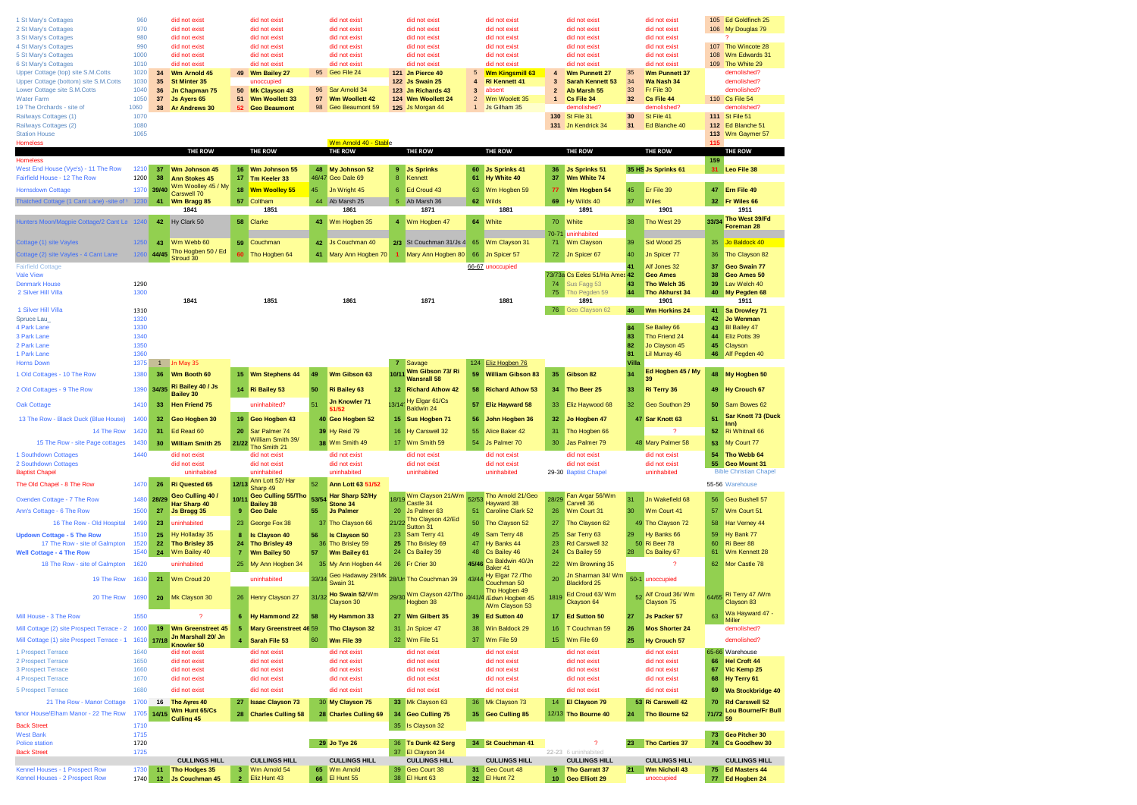|                                                                  | 960          |            |                                            |                   |                                       |          |                                          |       |                                          |                                |                                          |                |                                     |       |                                    |          |                                          |
|------------------------------------------------------------------|--------------|------------|--------------------------------------------|-------------------|---------------------------------------|----------|------------------------------------------|-------|------------------------------------------|--------------------------------|------------------------------------------|----------------|-------------------------------------|-------|------------------------------------|----------|------------------------------------------|
| 1 St Mary's Cottages<br>2 St Mary's Cottages                     | 970          |            | did not exist<br>did not exist             |                   | did not exist<br>did not exist        |          | did not exist<br>did not exist           |       | did not exist<br>did not exist           |                                | did not exist<br>did not exist           |                | did not exist<br>did not exist      |       | did not exis<br>did not exist      |          | 105 Ed Goldfinch 25<br>106 My Douglas 79 |
| 3 St Mary's Cottages                                             | 980          |            | did not exist                              |                   | did not exist                         |          | did not exist                            |       | did not exist                            |                                | did not exist                            |                | did not exist                       |       | did not exist                      |          |                                          |
| 4 St Mary's Cottages                                             | 990          |            | did not exist                              |                   | did not exist                         |          | did not exist                            |       | did not exist                            |                                | did not exist                            |                | did not exist                       |       | did not exist                      | 107      | Tho Wincote 28                           |
| 5 St Mary's Cottages                                             | 1000         |            | did not exist                              |                   | did not exist                         |          | did not exist                            |       | did not exist                            |                                | did not exist                            |                | did not exist                       |       | did not exist                      | 108      | Wm Edwards 31                            |
| 6 St Mary's Cottages                                             | 1010         |            | did not exist                              |                   | did not exist                         |          | did not exist                            |       | did not exist                            |                                | did not exist                            |                | did not exist                       |       | did not exist                      | 109      | Tho White 29                             |
| Upper Cottage (top) site S.M.Cotts                               | 1020         | 34         | Wm Arnold 45                               | 49                | Wm Bailey 27                          | 95       | Geo File 24                              |       | 121 Jn Pierce 40                         | 5                              | <b>Wm Kingsmill 63</b>                   | 4              | <b>Wm Punnett 27</b>                | 35    | <b>Wm Punnett 37</b>               |          | demolished?                              |
| Upper Cottage (bottom) site S.M.Cotts                            | 1030         | 35         | <b>St Minter 35</b>                        |                   | unoccupied                            |          |                                          |       | <b>122 Js Swain 25</b>                   | 4                              | <b>Ri Kennett 41</b>                     | 3              | <b>Sarah Kennett 53</b>             | 34    | Wa Nash 34                         |          | demolished?                              |
| Lower Cottage site S.M.Cotts                                     | 1040         | 36         | Jn Chapman 75                              | 50                | <b>Mk Clayson 43</b>                  | 96<br>97 | Sar Arnold 34                            |       | 123 Jn Richards 43                       | $\mathbf{3}$                   | absent                                   | $\overline{2}$ | Ab Marsh 55                         | 33    | Fr File 30                         |          | demolished?                              |
| <b>Water Farm</b><br>19 The Orchards - site of                   | 1050<br>1060 | 37<br>38   | Js Ayers 65<br><b>Ar Andrews 30</b>        | 51<br>52          | Wm Woollett 33<br><b>Geo Beaumont</b> | 98       | <b>Wm Woollett 42</b><br>Geo Beaumont 59 |       | 124 Wm Woollett 24<br>125 Js Morgan 44   | $\overline{2}$<br>$\mathbf{1}$ | Wm Woolett 35<br>Js Gilham 35            | $\mathbf{1}$   | Cs File 34<br>demolished?           | 32    | Cs File 44<br>demolished?          |          | 110 Cs File 54<br>demolished?            |
| Railways Cottages (1)                                            | 1070         |            |                                            |                   |                                       |          |                                          |       |                                          |                                |                                          |                | 130 St File 31                      | 30    | St File 41                         |          | 111 St File 51                           |
| Railways Cottages (2)                                            | 1080         |            |                                            |                   |                                       |          |                                          |       |                                          |                                |                                          |                | 131 Jn Kendrick 34                  | 31    | Ed Blanche 40                      |          | 112 Ed Blanche 51                        |
| <b>Station House</b>                                             | 1065         |            |                                            |                   |                                       |          |                                          |       |                                          |                                |                                          |                |                                     |       |                                    | 113      | Wm Gaymer 57                             |
| <b>Homeless</b>                                                  |              |            |                                            |                   |                                       |          | Wm Arnold 40 - Stable                    |       |                                          |                                |                                          |                |                                     |       |                                    | 115      |                                          |
|                                                                  |              |            | <b>THE ROW</b>                             |                   | <b>THE ROW</b>                        |          | <b>THE ROW</b>                           |       | THE ROW                                  |                                | THE ROW                                  |                | THE ROW                             |       | THE ROW                            |          | THE ROW                                  |
| <b>Homeless</b>                                                  |              |            |                                            |                   |                                       |          |                                          |       |                                          |                                |                                          |                |                                     |       |                                    | 159      |                                          |
| West End House (Vye's) - 11 The Row                              | 1210         | 37         | Wm Johnson 45                              |                   | 16 Wm Johnson 55                      |          | 48 My Johnson 52                         | 9     | <b>Js Sprinks</b>                        |                                | 60 Js Sprinks 41                         | 36             | <b>Js Sprinks 51</b>                |       | 35 HS Js Sprinks 61                | 31       | Leo File 38                              |
| Fairfield House - 12 The Row                                     | 1200         | 38         | <b>Ann Stokes 45</b><br>Wm Woolley 45 / My | 17                | Tm Keeler 33                          |          | 46/47 Geo Dale 69                        | 8     | Kennett                                  | 61                             | Hy White 40                              | 37             | Wm White 74                         |       |                                    |          |                                          |
| <b>Hornsdown Cottage</b>                                         |              | 1370 39/40 | Carswell 70                                |                   | 18 Wm Woolley 55                      | 45       | Jn Wright 45                             |       | 6 Ed Croud 43                            |                                | 63 Wm Hogben 59                          | 77             | Wm Hogben 54                        | 45    | Er File 39                         | 47       | Ern File 49                              |
| Thatched Cottage (1 Cant Lane) -site of 1                        | 1230         | 41         | Wm Bragg 85                                | 57                | Coltham                               |          | 44 Ab Marsh 25                           |       | 5 Ab Marsh 36                            |                                | 62 Wilds                                 | 69             | Hy Wilds 40                         | 37    | Wiles                              | 32       | Fr Wiles 66                              |
|                                                                  |              |            | 1841                                       |                   | 1851                                  |          | 1861                                     |       | 1871                                     |                                | 1881                                     |                | 1891                                |       | 1901                               |          | 1911                                     |
| Hunters Moon/Magpie Cottage/2 Cant La 1240                       |              | 42         | Hy Clark 50                                | 58                | Clarke                                | 43       | Wm Hogben 35                             |       | 4 Wm Hogben 47                           |                                | 64 White                                 |                | 70 White                            | 38    | Tho West 29                        |          | 33/34 Tho West 39/Fd                     |
|                                                                  |              |            |                                            |                   |                                       |          |                                          |       |                                          |                                |                                          | $70 - 71$      | uninhabited                         |       |                                    |          | Foreman 28                               |
| Cottage (1) site Vayles                                          | 1250         | 43         | Wm Webb 60                                 | 59                | Couchman                              | 42       | Js Couchman 40                           |       | 2/3 St Couchman 31/Js 4 65 Wm Clayson 31 |                                |                                          | 71             | Wm Clayson                          | 39    | Sid Wood 25                        | 35       | Jo Baldock 40                            |
|                                                                  |              |            | Tho Hogben 50 / Ed                         |                   |                                       |          |                                          |       |                                          |                                |                                          |                |                                     |       |                                    |          |                                          |
| Cottage (2) site Vayles - 4 Cant Lane                            |              | 1260 44/45 | Stroud 30                                  | 60                | Tho Hogben 64                         | 41       | Mary Ann Hogben 70                       |       | 1 Mary Ann Hogben 80                     |                                | 66 Jn Spicer 57                          | 72             | Jn Spicer 67                        | 40    | Jn Spicer 77                       | 36       | Tho Clayson 82                           |
| <b>Fairfield Cottage</b>                                         |              |            |                                            |                   |                                       |          |                                          |       |                                          |                                | 66-67 unoccupied                         |                |                                     |       | Alf Jones 32                       | 37       | Geo Swain 77                             |
| <b>Vale View</b>                                                 |              |            |                                            |                   |                                       |          |                                          |       |                                          |                                |                                          |                | 73/73a Cs Eeles 51/Ha Ames 42       |       | <b>Geo Ames</b>                    | 38       | Geo Ames 50                              |
| <b>Denmark House</b>                                             | 1290         |            |                                            |                   |                                       |          |                                          |       |                                          |                                |                                          | 74             | Sus Fagg 53                         | 43    | Tho Welch 35                       | 39       | Lav Welch 40                             |
| 2 Silver Hill Villa                                              | 1300         |            | 1841                                       |                   | 1851                                  |          | 1861                                     |       | 1871                                     |                                | 1881                                     | 75             | Tho Pegden 59<br>1891               | 44    | Tho Akhurst 34<br>1901             | 40       | My Pegden 68<br>1911                     |
|                                                                  |              |            |                                            |                   |                                       |          |                                          |       |                                          |                                |                                          |                | 76 Geo Clayson 62                   |       |                                    |          |                                          |
| 1 Silver Hill Villa<br>Spruce Lau                                | 1310<br>1320 |            |                                            |                   |                                       |          |                                          |       |                                          |                                |                                          |                |                                     | 46    | <b>Wm Horkins 24</b>               | 41<br>42 | Sa Drowley 71<br><b>Jo Wenman</b>        |
| 4 Park Lane                                                      | 1330         |            |                                            |                   |                                       |          |                                          |       |                                          |                                |                                          |                |                                     | 84    | Se Bailey 66                       | 43       | <b>BI Bailey 47</b>                      |
| 3 Park Lane                                                      | 1340         |            |                                            |                   |                                       |          |                                          |       |                                          |                                |                                          |                |                                     | 83    | Tho Friend 24                      | 44       | Eliz Potts 39                            |
| 2 Park Lane                                                      | 1350         |            |                                            |                   |                                       |          |                                          |       |                                          |                                |                                          |                |                                     | 82    | Jo Clayson 45                      | 45       | Clayson                                  |
| 1 Park Lane                                                      | 1360         |            |                                            |                   |                                       |          |                                          |       |                                          |                                |                                          |                |                                     | 81    | Lil Murray 46                      | 46       | Alf Pegden 40                            |
| <b>Horns Down</b>                                                | 1375         |            | 1 Jn May 35                                |                   |                                       |          |                                          | 7     | Savage                                   |                                | 124 Eliz Hogben 76                       |                |                                     | Villa |                                    |          |                                          |
| 1 Old Cottages - 10 The Row                                      | 1380         | 36         | Wm Booth 60                                |                   | 15 Wm Stephens 44                     | 49       | Wm Gibson 63                             | 10/11 | Wm Gibson 73/Ri                          | 59                             | <b>William Gibson 83</b>                 | 35             | Gibson 82                           | 34    | Ed Hogben 45 / My                  | 48       | My Hogben 50                             |
|                                                                  |              |            | Ri Bailey 40 / Js                          |                   |                                       |          |                                          |       | <b>Wansrall 58</b>                       |                                |                                          |                |                                     |       | 39                                 |          |                                          |
| 2 Old Cottages - 9 The Row                                       |              | 1390 34/35 | <b>Bailev 30</b>                           |                   | 14 Ri Bailey 53                       | 50       | <b>Ri Bailey 63</b>                      |       | 12 Richard Athow 42                      |                                | 58 Richard Athow 53                      | 34             | Tho Beer 25                         | 33    | Ri Terry 36                        | 49       | Hy Crouch 67                             |
| <b>Oak Cottage</b>                                               | 1410         | 33         | <b>Hen Friend 75</b>                       |                   | uninhabited?                          | 51       | Jn Knowler 71                            | 13/14 | Hy Elgar 61/Cs                           | 57                             | <b>Eliz Hayward 58</b>                   | 33             | Eliz Haywood 68                     | 32    | Geo Southon 29                     | 50       | Sam Bowes 62                             |
|                                                                  |              |            |                                            |                   |                                       |          | 51/52                                    |       | Baldwin 24                               |                                |                                          |                |                                     |       |                                    |          | <b>Sar Knott 73 (Duck</b>                |
| 13 The Row - Black Duck (Blue House)                             | 1400         | 32         | Geo Hogben 30                              | 19                | Geo Hogben 43                         |          | 40 Geo Hogben 52                         |       | 15 Sus Hogben 71                         | 56                             | John Hogben 36                           | 32             | Jo Hogben 47                        |       | 47 Sar Knott 63                    | 51       | lnn)                                     |
| 14 The Row                                                       | 1420         | 31         | Ed Read 60                                 | 20                | Sar Palmer 74                         |          | 39 Hy Reid 79                            |       | 16 Hy Carswell 32                        | 55                             | Alice Baker 42                           | 31             | Tho Hogben 66                       |       |                                    | 52       | Ri Whitnall 66                           |
| 15 The Row - site Page cottages                                  | 1430         | 30         | <b>William Smith 25</b>                    | 21/22             | William Smith 39/                     |          | 38 Wm Smith 49                           |       | 17 Wm Smith 59                           |                                | 54 Js Palmer 70                          | 30             | Jas Palmer 79                       |       | 48 Mary Palmer 58                  | 53       | My Court 77                              |
| 1 Southdown Cottages                                             | 1440         |            | did not exist                              |                   | Tho Smith 21<br>did not exist         |          | did not exist                            |       | did not exist                            |                                | did not exist                            |                | did not exist                       |       | did not exist                      | 54       | Tho Webb 64                              |
| 2 Southdown Cottages                                             |              |            | did not exist                              |                   | did not exist                         |          | did not exist                            |       | did not exist                            |                                | did not exist                            |                | did not exist                       |       | did not exis                       | 55       | <b>Geo Mount 31</b>                      |
| <b>Baptist Chapel</b>                                            |              |            | uninhabited                                |                   | uninhabited                           |          | uninhabited                              |       | uninhabited                              |                                | uninhabited                              |                | 29-30 Baptist Chapel                |       | uninhabited                        |          | <b>Bible Christian Chapel</b>            |
|                                                                  | 1470         | 26         | <b>Ri</b> Quested 65                       | 12/13             | Ann Lott 52/ Har                      | 52       |                                          |       |                                          |                                |                                          |                |                                     |       |                                    |          | 55-56 Warehouse                          |
| The Old Chapel - 8 The Row                                       |              |            |                                            |                   | Sharp 49                              |          | Ann Lott 63 51/52                        |       |                                          |                                |                                          |                |                                     |       |                                    |          |                                          |
| Oxenden Cottage - 7 The Row                                      | 1480         | 28/29      | Geo Culling 40 /                           | 10/1              | <b>Geo Culling 55/Tho</b>             | 53/54    | Har Sharp 52/Hy                          | 18/19 | Wm Clayson 21/Wm<br>Castle 34            | 52/53                          | Tho Arnold 21/Geo<br>Havward 38          | 28/29          | Fan Argar 56/Wm<br>Carvell 36       | 31    | Jn Wakefield 68                    | 56       | Geo Bushell 57                           |
| Ann's Cottage - 6 The Row                                        | 1500         | 27         | Har Sharp 40<br>Js Bragg 35                | 9                 | <b>Bailev 38</b><br><b>Geo Dale</b>   | 55       | Stone 34<br><b>Js Palmer</b>             | 20    | <b>Js Palmer 63</b>                      | 51                             | <b>Caroline Clark 52</b>                 | 26             | Wm Court 31                         | 30    | Wm Court 41                        | 57       | Wm Court 51                              |
|                                                                  |              |            |                                            |                   |                                       |          |                                          |       | 21/22 Tho Clayson 42/Ed                  |                                |                                          |                |                                     |       |                                    |          |                                          |
| 16 The Row - Old Hospital                                        | 1490         | 23         | uninhabited                                | 23                | George Fox 38                         |          | 37 Tho Clayson 66                        |       | Sutton 31                                |                                | 50 Tho Clayson 52                        | 27             | Tho Clayson 62                      |       | 49 Tho Clayson 72                  | 58       | Har Verney 44                            |
| <b>Updown Cottage - 5 The Row</b>                                | 1510         | 25         | Hy Holladay 35                             | 8                 | <b>Is Clayson 40</b>                  | 56       | <b>Is Clayson 50</b>                     | 23    | Sam Terry 41                             | 49                             | Sam Terry 48                             | 25             | Sar Terry 63                        | 29    | Hy Banks 66                        | 59       | Hy Bank 77                               |
| 17 The Row - site of Galmpton                                    | 1520         | 22         | Tho Brisley 35                             | 24                | Tho Brisley 49                        | 36       | Tho Brisley 59                           | 25    | Tho Brisley 69                           | 47                             | Hy Banks 44                              | 23             | Rd Carswell 32                      |       | 50 Ri Beer 78                      | 60       | Ri Beer 88                               |
| <b>Well Cottage - 4 The Row</b>                                  | 1540         | 24         | Wm Bailey 40                               | 7                 | Wm Bailey 50                          | 57       | Wm Bailey 61                             |       | 24 Cs Bailey 39                          | 48                             | Cs Bailey 46                             | 24             | Cs Bailey 59                        | 28    | Cs Bailey 67                       | 61       | Wm Kennett 28                            |
| 18 The Row - site of Galmpton                                    | 1620         |            | uninhabited                                | 25                | My Ann Hogben 34                      |          | 35 My Ann Hogben 44                      |       | 26 Fr Crier 30                           | 45/46                          | Cs Baldwin 40/Jn<br>Baker 41             | 22             | Wm Browning 35                      |       | -2                                 | 62       | Mor Castle 78                            |
| 19 The Row                                                       | 1630         | 21         | Wm Croud 20                                |                   | uninhabited                           | 33/34    | Geo Hadaway 29/Mk                        |       | 28/Un Tho Couchman 39                    | 43/44                          | Hy Elgar 72 /Tho                         | 20             | Jn Sharman 34/Wm                    |       | 50-1 unoccupied                    |          |                                          |
|                                                                  |              |            |                                            |                   |                                       |          | Swain 31                                 |       |                                          |                                | Couchman 50                              |                | <b>Blackford 25</b>                 |       |                                    |          |                                          |
| 20 The Row 1690                                                  |              | 20         | Mk Clayson 30                              | 26                | Henry Clayson 27                      | 31/32    | Ho Swain 52/Wm                           | 29/30 | Wm Clayson 42/Tho                        |                                | Tho Hogben 49<br>0/41/4 / Edwn Hogben 45 | 1819           | Ed Croud 63/ Wm                     | 52    | Alf Croud 36/ Wm                   | 64/65    | Ri Terry 47 /Wm                          |
|                                                                  |              |            |                                            |                   |                                       |          | Clayson 30                               |       | Hogben 38                                |                                | /Wm Clayson 53                           |                | Ckayson 64                          |       | Clayson 75                         |          | Clayson 83                               |
| Mill House - 3 The Row                                           | 1550         |            | $\mathcal{P}$                              |                   | <b>Hy Hammond 22</b>                  | 58       |                                          |       | 27 Wm Gilbert 35                         |                                | 39 Ed Sutton 40                          |                | 17 Ed Sutton 50                     |       | Js Packer 57                       | 63       | Wa Hayward 47 -                          |
|                                                                  |              |            |                                            |                   |                                       |          | Hy Hammon 33                             |       |                                          |                                |                                          |                |                                     |       |                                    |          | Miller                                   |
| Mill Cottage (2) site Prospect Terrace - 2 1600                  |              | 19         | <b>Wm Greenstreet 45</b>                   |                   | Mary Greenstreet 46 59                |          | Tho Clayson 32                           |       | 31 Jn Spicer 47                          | 38                             | Win Baldock 29                           | 16             | T Couchman 59                       | 26    | <b>Mos Shorter 24</b>              |          | demolished?                              |
| Mill Cottage (1) site Prospect Terrace - 1                       | 1610         | 17/18      | Jn Marshall 20/ Jn<br>Knowler 50           |                   | Sarah File 53                         | 60       | Wm File 39                               |       | 32 Wm File 51                            | 37                             | Wm File 59                               | 15             | Wm File 69                          | 25    | Hy Crouch 57                       |          | demolished?                              |
| 1 Prospect Terrace                                               | 1640         |            | did not exist                              |                   | did not exist                         |          | did not exist                            |       | did not exist                            |                                | did not exist                            |                | did not exist                       |       | did not exist                      |          | 65-66 Warehouse                          |
| 2 Prospect Terrace                                               | 1650         |            | did not exist                              |                   | did not exist                         |          | did not exist                            |       | did not exist                            |                                | did not exist                            |                | did not exist                       |       | did not exist                      | 66       | <b>Hel Croft 44</b>                      |
| 3 Prospect Terrace                                               | 1660         |            | did not exist                              |                   | did not exist                         |          | did not exist                            |       | did not exist                            |                                | did not exist                            |                | did not exist                       |       | did not exist                      | 67       | Vic Kemp 25                              |
| 4 Prospect Terrace                                               | 1670         |            | did not exist                              |                   | did not exist                         |          | did not exist                            |       | did not exist                            |                                | did not exist                            |                | did not exist                       |       | did not exist                      | 68       | Hy Terry 61                              |
| 5 Prospect Terrace                                               | 1680         |            | did not exist                              |                   | did not exist                         |          | did not exist                            |       | did not exist                            |                                | did not exist                            |                | did not exist                       |       | did not exist                      | 69       | Wa Stockbridge 40                        |
| 21 The Row - Manor Cottage                                       | 1700         | 16         | Tho Ayres 40                               | 27                | <b>Isaac Clayson 73</b>               |          | 30 My Clayson 75                         |       | 33 Mk Clayson 63                         |                                | 36 Mk Clayson 73                         |                | 14 El Clayson 79                    |       | 53 Ri Carswell 42                  | 70       | <b>Rd Carswell 52</b>                    |
|                                                                  |              |            | Wm Hunt 65/Cs                              |                   |                                       |          |                                          |       |                                          |                                |                                          |                |                                     |       |                                    |          | <b>Lou Bourne/Fr Bull</b>                |
| fanor House/Elham Manor - 22 The Row                             | 1705         | 14/15      | Culling 45                                 | 28                | <b>Charles Culling 58</b>             |          | 28 Charles Culling 69                    |       | 34 Geo Culling 75                        |                                | 35 Geo Culling 85                        |                | 12/13 Tho Bourne 40                 | 24    | Tho Bourne 52                      | 71/72    |                                          |
| <b>Back Street</b>                                               | 1710         |            |                                            |                   |                                       |          |                                          |       | 35 Is Clayson 32                         |                                |                                          |                |                                     |       |                                    |          |                                          |
| <b>West Bank</b>                                                 | 1715         |            |                                            |                   |                                       |          |                                          |       |                                          |                                |                                          |                |                                     |       |                                    |          | 73 Geo Pitcher 30                        |
| <b>Police station</b>                                            |              |            |                                            |                   |                                       |          | 29 Jo Tye 26                             |       | 36 Ts Dunk 42 Serg                       |                                | 34 St Couchman 41                        |                | $\cdot$                             |       | 23 Tho Carties 37                  |          | 74 Cs Goodhew 30                         |
|                                                                  | 1720         |            |                                            |                   |                                       |          |                                          |       |                                          |                                |                                          |                |                                     |       |                                    |          |                                          |
| <b>Back Street</b>                                               | 1725         |            |                                            |                   |                                       |          |                                          |       | 37 El Clayson 34                         |                                |                                          |                | 22-23 6 uninhabited                 |       |                                    |          |                                          |
|                                                                  |              |            | <b>CULLINGS HILL</b>                       |                   | <b>CULLINGS HILL</b>                  |          | <b>CULLINGS HILL</b>                     |       | <b>CULLINGS HILL</b>                     |                                | <b>CULLINGS HILL</b>                     |                | <b>CULLINGS HILL</b>                |       | <b>CULLINGS HILL</b>               |          | <b>CULLINGS HILL</b>                     |
| Kennel Houses - 1 Prospect Row<br>Kennel Houses - 2 Prospect Row | 1730<br>1740 | 11<br>12   | Tho Hodges 35<br><b>Js Couchman 45</b>     | 3<br>$\mathbf{2}$ | Wm Arnold 54<br>Eliz Hunt 43          | 65       | Wm Arnold<br>66 El Hunt 55               | 39    | Geo Court 38<br>38 El Hunt 63            | 31                             | Geo Court 48<br>32 El Hunt 72            | 9              | Tho Garratt 37<br>10 Geo Elliott 29 | 21    | <b>Wm Nicholl 43</b><br>unoccupied | 75       | <b>Ed Masters 44</b><br>77 Ed Hogben 24  |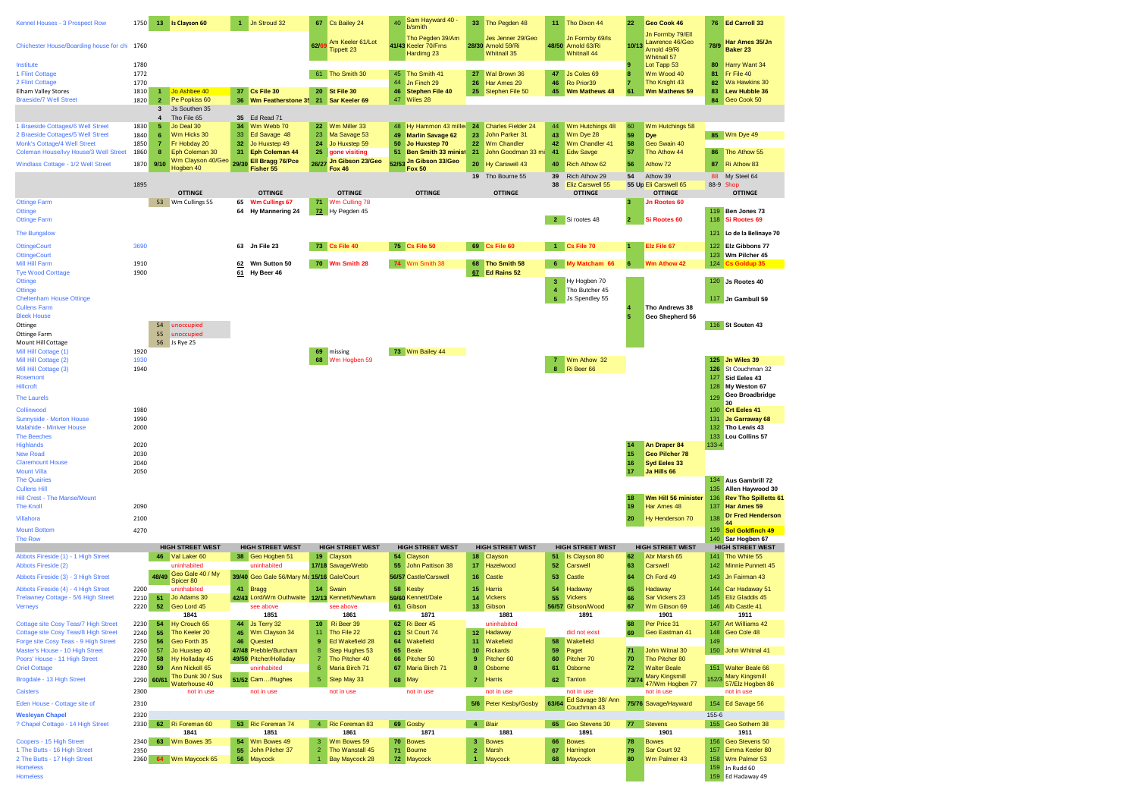| Kennel Houses - 3 Prospect Row                                                                                 | 1750                         | 13 Is Clayson 60                                                                                                                 |                | Jn Stroud 32                                                  | 67                               | Cs Bailey 24                                             | 40       | Sam Hayward 40 -<br>b/smith                                           |                                  | 33 Tho Pegden 48                                       |                           | 11 Tho Dixon 44                                            | 22             | Geo Cook 46                                                        | 76                              | Ed Carroll 33                                                                                                  |
|----------------------------------------------------------------------------------------------------------------|------------------------------|----------------------------------------------------------------------------------------------------------------------------------|----------------|---------------------------------------------------------------|----------------------------------|----------------------------------------------------------|----------|-----------------------------------------------------------------------|----------------------------------|--------------------------------------------------------|---------------------------|------------------------------------------------------------|----------------|--------------------------------------------------------------------|---------------------------------|----------------------------------------------------------------------------------------------------------------|
| Chichester House/Boarding house for chi 1760                                                                   |                              |                                                                                                                                  |                |                                                               | 62/6                             | Am Keeler 61/Lot<br><b>Tippett 23</b>                    |          | Tho Pegden 39/Am<br>41/43 Keeler 70/Frns<br>Hardimg 23                |                                  | Jes Jenner 29/Geo<br>28/30 Arnold 59/Ri<br>Whitnall 35 |                           | Jn Formby 69/Is<br>48/50 Arnold 63/Ri<br>Whitnall 44       | 10/13          | Jn Formby 79/Ell<br>Lawrence 46/Geo<br>Arnold 49/Ri<br>Whitnall 57 | 78/9                            | Har Ames 35/Jn<br>Baker 23                                                                                     |
| Institute<br>1 Flint Cottage                                                                                   | 1780<br>1772                 |                                                                                                                                  |                |                                                               |                                  | 61 Tho Smith 30                                          |          | 45 Tho Smith 41                                                       |                                  | 27 Wal Brown 36                                        | 47                        | <b>Js Coles 69</b>                                         |                | Lot Tapp 53<br>Wm Wood 40                                          | 80<br>81                        | Harry Want 34<br>Fr File 40                                                                                    |
| 2 Flint Cottage<br><b>Elham Valley Stores</b><br><b>Braeside/7 Well Street</b>                                 | 1770<br>1810<br>1820         | Jo Ashbee 40<br>$\mathbf{1}$<br>Pe Popkiss 60<br>$\mathbf{2}$                                                                    |                | 37 Cs File 30<br>36 Wm Featherstone 35 21 Sar Keeler 69       |                                  | 20 St File 30                                            | 44       | Jn Finch 29<br>46 Stephen File 40<br>47 Wiles 28                      | 26                               | Har Ames 29<br>25 Stephen File 50                      | 46                        | Ro Prior39<br>45 Wm Mathews 48                             | 61             | Tho Knight 43<br>Wm Mathews 59                                     | 82<br>83<br>84                  | Wa Hawkins 30<br><b>Lew Hubble 36</b><br>Geo Cook 50                                                           |
| 1 Braeside Cottages/6 Well Street<br>2 Braeside Cottages/5 Well Street<br>Monk's Cottage/4 Well Street         | 1830<br>1840<br>1850         | Js Southen 35<br>$\overline{\mathbf{3}}$<br>Tho File 65<br>5<br>Jo Deal 30<br>Wm Hicks 30<br>6<br>Fr Hobday 20<br>$\overline{7}$ | 34<br>33<br>32 | 35 Ed Read 71<br>Wm Webb 70<br>Ed Savage 48<br>Jo Huxstep 49  | 22<br>23<br>24                   | Wm Miller 33<br>Ma Savage 53<br>Jo Huxstep 59            | 49<br>50 | 48 Hy Hammon 43 miller<br><b>Marlin Savage 62</b><br>Jo Huxstep 70    | 23<br>22                         | 24 Charles Fielder 24<br>John Parker 31<br>Wm Chandler | 44<br>43<br>42            | Wm Hutchings 48<br>Wm Dye 28<br>Wm Chandler 41             | 60<br>59<br>58 | Wm Hutchings 58<br><b>Dye</b><br>Geo Swain 40                      |                                 | 85 Wm Dye 49                                                                                                   |
| Coleman House/Ivy House/3 Well Street<br>Windlass Cottage - 1/2 Well Street                                    | 1860<br>1870                 | Eph Coleman 30<br>8<br>Wm Clayson 40/Geo<br>9/10<br>Hoaben 40                                                                    | 31<br>29/30    | <b>Eph Coleman 44</b><br><b>Ell Bragg 76/Pce</b><br>Fisher 55 | 25                               | gone visiting<br>26/27 Jn Gibson 23/Geo<br><b>Fox 46</b> | 51       | <b>Ben Smith 33 minist</b><br>52/53 Jn Gibson 33/Geo<br><b>Fox 50</b> | 21<br>20                         | John Goodman 33 mi<br>Hy Carswell 43                   | 41<br>40                  | <b>Edw Savge</b><br>Rich Athow 62                          | 57<br>56       | Tho Athow 44<br>Athow 72                                           | 87                              | 86 Tho Athow 55<br>Ri Athow 83                                                                                 |
|                                                                                                                | 1895                         | <b>OTTINGE</b>                                                                                                                   |                | <b>OTTINGE</b>                                                |                                  | <b>OTTINGE</b>                                           |          | <b>OTTINGE</b>                                                        |                                  | 19 Tho Bourne 55<br><b>OTTINGE</b>                     | 39<br>38                  | Rich Athow 29<br><b>Eliz Carswell 55</b><br><b>OTTINGE</b> | 54             | Athow 39<br>55 Up Eli Carswell 65<br><b>OTTINGE</b>                | 88                              | My Steel 64<br>88-9 Shop<br><b>OTTINGE</b>                                                                     |
| <b>Ottinge Farm</b><br>Ottinge<br><b>Ottinge Farm</b>                                                          |                              | 53 Wm Cullings 55                                                                                                                | 65<br>64       | <b>Wm Cullings 67</b><br><b>Hy Mannering 24</b>               | 71                               | Wm Culling 78<br>72 Hy Pegden 45                         |          |                                                                       |                                  |                                                        |                           | 2 Si rootes 48                                             |                | Jn Rootes 60<br>Si Rootes 60                                       | 118                             | 119 Ben Jones 73<br>Si Rootes 69                                                                               |
| The Bungalow<br><b>OttingeCourt</b>                                                                            | 3690                         |                                                                                                                                  |                | 63 Jn File 23                                                 |                                  | 73 Cs File 40                                            |          | 75 Cs File 50                                                         |                                  | 69 Cs File 60                                          |                           | 1 Cs File 70                                               |                | Elz File 67                                                        | 121<br>122                      | Lo de la Belinaye 70<br><b>Elz Gibbons 77</b>                                                                  |
| <b>OttingeCourt</b><br>Mill Hill Farm                                                                          | 1910                         |                                                                                                                                  | 62             | Wm Sutton 50                                                  |                                  | 70 Wm Smith 28                                           |          | 74 Wm Smith 38                                                        |                                  | 68 Tho Smith 58                                        |                           | 6 My Matcham 66                                            | 6              | Wm Athow 42                                                        | 123                             | Wm Pilcher 45<br>124 Cs Goldup 35                                                                              |
| <b>Tye Wood Corttage</b><br>Ottinge<br>Ottinge<br><b>Cheltenham House Ottinge</b><br><b>Cullens Farm</b>       | 1900                         |                                                                                                                                  | 61             | Hy Beer 46                                                    |                                  |                                                          |          |                                                                       |                                  | 67 Ed Rains 52                                         | -3<br>$\overline{A}$<br>5 | Hy Hogben 70<br>Tho Butcher 45<br>Js Spendley 55           |                | Tho Andrews 38                                                     |                                 | 120 Js Rootes 40<br>117 Jn Gambull 59                                                                          |
| <b>Bleek House</b><br>Ottinge<br>Ottinge Farm<br>Mount Hill Cottage                                            |                              | 54<br>unoccupied<br>55<br>unoccupied<br>56<br>Js Rye 25                                                                          |                |                                                               |                                  |                                                          |          |                                                                       |                                  |                                                        |                           |                                                            |                | Geo Shepherd 56                                                    |                                 | 116 St Souten 43                                                                                               |
| Mill Hill Cottage (1)<br>Mill Hill Cottage (2)<br>Mill Hill Cottage (3)<br>Rosemont<br><b>Hillcroft</b>        | 1920<br>1930<br>1940         |                                                                                                                                  |                |                                                               |                                  | 69 missing<br>68   Wm Hogben 59                          |          | 73 Wm Bailey 44                                                       |                                  |                                                        | 8                         | Wm Athow 32<br>Ri Beer 66                                  |                |                                                                    | 126<br>127<br>128               | 125 Jn Wiles 39<br>St Couchman 32<br>Sid Eeles 43<br>My Weston 67                                              |
| <b>The Laurels</b><br>Collinwood<br>Sunnyside - Morton House<br>Malahide - Miniver House<br><b>The Beeches</b> | 1980<br>1990<br>2000         |                                                                                                                                  |                |                                                               |                                  |                                                          |          |                                                                       |                                  |                                                        |                           |                                                            |                |                                                                    | 129<br>130<br>131<br>132<br>133 | <b>Geo Broadbridge</b><br>30<br><b>Crt Eeles 41</b><br><b>Js Garraway 68</b><br>Tho Lewis 43<br>Lou Collins 57 |
| Highlands<br><b>New Road</b><br><b>Claremount House</b><br><b>Mount Villa</b>                                  | 2020<br>2030<br>2040<br>2050 |                                                                                                                                  |                |                                                               |                                  |                                                          |          |                                                                       |                                  |                                                        |                           |                                                            | 15<br>16<br>17 | An Draper 84<br>Geo Pilcher 78<br>Syd Eeles 33<br>Ja Hills 66      | 133-4                           |                                                                                                                |
| <b>The Quairies</b><br><b>Cullens Hill</b><br>Hill Crest - The Manse/Mount<br><b>The Knoll</b>                 | 2090                         |                                                                                                                                  |                |                                                               |                                  |                                                          |          |                                                                       |                                  |                                                        |                           |                                                            | 19             | Wm Hill 56 minister<br>Har Ames 48                                 | 134<br>135<br>136<br>137        | <b>Aus Gambrill 72</b><br>Allen Haywood 30<br><b>Rev Tho Spilletts 61</b><br>Har Ames 59                       |
| Villahora<br><b>Mount Bottom</b><br><b>The Row</b>                                                             | 2100<br>4270                 |                                                                                                                                  |                |                                                               |                                  |                                                          |          |                                                                       |                                  |                                                        |                           |                                                            | 20             | Hy Henderson 70                                                    | 138                             | <b>Dr Fred Henderson</b><br>44<br>139 Sol Goldfinch 49<br>140 Sar Hogben 67                                    |
|                                                                                                                |                              | <b>HIGH STREET WEST</b>                                                                                                          |                | <b>HIGH STREET WEST</b>                                       |                                  | <b>HIGH STREET WEST</b>                                  |          | <b>HIGH STREET WEST</b>                                               |                                  | <b>HIGH STREET WEST</b>                                |                           | <b>HIGH STREET WEST</b>                                    |                | <b>HIGH STREET WEST</b>                                            |                                 | <b>HIGH STREET WEST</b>                                                                                        |
| Abbots Fireside (1) - 1 High Street<br><b>Abbots Fireside (2)</b>                                              |                              | 46 Val Laker 60<br>uninhabited                                                                                                   |                | 38 Geo Hogben 51<br>uninhabited                               |                                  | 19 Clayson<br>17/18 Savage/Webb                          |          | 54 Clayson<br>55 John Pattison 38                                     | 17                               | 18 Clayson<br>Hazelwood                                | 51<br>52                  | Is Clayson 80<br>Carswell                                  | 63             | Abr Marsh 65<br>Carswell                                           | 141<br>142                      | Tho White 55<br>Minnie Punnett 45                                                                              |
| Abbots Fireside (3) - 3 High Street                                                                            |                              | Geo Gale 40 / My<br>48/49                                                                                                        |                | 39/40 Geo Gale 56/Mary Ma 15/16 Gale/Court                    |                                  |                                                          |          | 56/57 Castle/Carswell                                                 | 16                               | Castle                                                 | 53                        | Castle                                                     | 64             | Ch Ford 49                                                         | 143                             | Jn Fairman 43                                                                                                  |
|                                                                                                                |                              | Spicer 80                                                                                                                        |                |                                                               |                                  |                                                          |          |                                                                       |                                  |                                                        |                           |                                                            |                |                                                                    |                                 |                                                                                                                |
| Abbots Fireside (4) - 4 High Street<br>Trelawney Cottage - 5/6 High Street                                     | 2200<br>2210<br>-51          | uninhabitec<br>Jo Adams 30                                                                                                       |                | 41 Bragg<br>42/43 Lord/Wm Outhwaite 12/13 Kennett/Newham      |                                  | 14 Swain                                                 | 58       | Kesby<br>59/60 Kennett/Dale                                           | 15<br>14                         | <b>Harris</b><br><b>Vickers</b>                        | 54<br>55                  | Hadaway<br><b>Vickers</b>                                  | 66             | Hadaway<br>Sar Vickers 23                                          | 144                             | Car Hadaway 51<br>145 Eliz Gladdis 45                                                                          |
| <b>Verneys</b>                                                                                                 | 2220                         | 52<br>Geo Lord 45<br>1841                                                                                                        |                | see above<br>1851                                             |                                  | see above<br>1861                                        |          | 61 Gibson<br>1871                                                     |                                  | 13 Gibson<br>1881                                      |                           | 56/57 Gibson/Wood<br>1891                                  | 67             | Wm Gibson 69<br>1901                                               |                                 | 146 Alb Castle 41<br>1911                                                                                      |
| Cottage site Cosy Teas/7 High Street                                                                           | 2230                         | 54<br>Hy Crouch 65                                                                                                               |                | 44 Js Terry 32                                                | 10 <sup>1</sup>                  | Ri Beer 39                                               |          | 62 Ri Beer 45                                                         |                                  | uninhabited                                            |                           |                                                            | 68             | Per Price 31                                                       |                                 | 147 Art Williams 42                                                                                            |
| Cottage site Cosy Teas/8 High Street                                                                           | 2240                         | Tho Keeler 20<br>55                                                                                                              | 45             | Wm Clayson 34                                                 | 11                               | Tho File 22                                              | 63       | St Court 74                                                           |                                  | 12 Hadaway                                             |                           | did not exist                                              | 69             | Geo Eastman 41                                                     | 148                             | Geo Cole 48                                                                                                    |
| Forge site Cosy Teas - 9 High Street                                                                           | 2250                         | Geo Forth 35<br>56                                                                                                               | 46             | Quested                                                       | 9                                | Ed Wakefield 28                                          | 64       | Wakefield                                                             | 11                               | Wakefield                                              | 58                        | Wakefield                                                  |                |                                                                    | 149                             |                                                                                                                |
| Master's House - 10 High Street<br>Poors' House - 11 High Street                                               | 2260<br>57<br>2270           | Jo Huxstep 40<br>Hy Holladay 45<br>58                                                                                            |                | 47/48 Prebble/Burcham<br>49/50 Pitcher/Holladay               | 8                                | Step Hughes 53<br>Tho Pitcher 40                         |          | 65 Beale<br>66 Pitcher 50                                             | 10<br>9                          | <b>Rickards</b><br>Pitcher 60                          | 59<br>60                  | Paget<br>Pitcher 70                                        | 71<br>70       | John Witnal 30<br>Tho Pitcher 80                                   |                                 | 150 John Whitnal 41                                                                                            |
| <b>Oriel Cottage</b>                                                                                           | 2280                         | Ann Nickoll 65<br>59                                                                                                             |                | uninhabited                                                   | 6                                | Maria Birch 71                                           | 67       | Maria Birch 71                                                        |                                  | Osborne                                                | 61                        | Osborne                                                    | 72             | <b>Walter Beale</b>                                                |                                 | 151 Walter Beale 66                                                                                            |
| Brogdale - 13 High Street                                                                                      | 60/61<br>2290                | Tho Dunk 30 / Sus                                                                                                                |                | 51/52 Cam/Hughes                                              | 5 <sub>5</sub>                   | Step May 33                                              |          | 68 May                                                                | $\overline{7}$                   | <b>Harris</b>                                          | 62                        | Tanton                                                     | 73/74          | <b>Mary Kingsmill</b>                                              | 152/3                           | Mary Kingsmill                                                                                                 |
| Caisters                                                                                                       | 2300                         | Waterhouse 40<br>not in use                                                                                                      |                | not in use                                                    |                                  | not in use                                               |          | not in use                                                            |                                  | not in use                                             |                           | not in use                                                 |                | 47/Wm Hogben 77<br>not in use                                      |                                 | 57/Elz Hogben 86<br>not in use                                                                                 |
| Eden House - Cottage site of                                                                                   | 2310                         |                                                                                                                                  |                |                                                               |                                  |                                                          |          |                                                                       |                                  | 5/6 Peter Kesby/Gosby                                  |                           | 63/64 Ed Savage 38/ Ann<br>Couchman 43                     |                | 75/76 Savage/Hayward                                               |                                 | 154 Ed Savage 56                                                                                               |
| <b>Wesleyan Chapel</b>                                                                                         | 2320                         |                                                                                                                                  |                |                                                               |                                  |                                                          |          |                                                                       |                                  |                                                        |                           |                                                            |                |                                                                    | 155-6                           |                                                                                                                |
| ? Chapel Cottage - 14 High Street                                                                              | 2330                         | 62 Ri Foreman 60<br>1841                                                                                                         |                | 53 Ric Foreman 74<br>1851                                     |                                  | 4 Ric Foreman 83<br>1861                                 |          | 69 Gosby<br>1871                                                      |                                  | 4 Blair<br>1881                                        |                           | 65 Geo Stevens 30<br>1891                                  | 77             | <b>Stevens</b><br>1901                                             |                                 | 155 Geo Sothern 38<br>1911                                                                                     |
| Coopers - 15 High Street                                                                                       | 2340                         | 63 Wm Bowes 35                                                                                                                   | 54             | Wm Bowes 49                                                   |                                  | 3 Wm Bowes 59                                            |          | 70 Bowes                                                              |                                  | 3 Bowes                                                |                           | 66 Bowes                                                   | 78             | <b>Bowes</b>                                                       |                                 | 156 Geo Stevens 50                                                                                             |
| 1 The Butts - 16 High Street<br>2 The Butts - 17 High Street<br><b>Homeless</b><br><b>Homeless</b>             | 2350                         | 2360 64 Wm Maycock 65                                                                                                            | 55<br>56       | John Pilcher 37<br>Maycock                                    | $\overline{2}$<br>$\overline{1}$ | Tho Wanstall 45<br>Bay Maycock 28                        |          | 71 Bourne<br>72 Maycock                                               | $\overline{2}$<br>$\overline{1}$ | Marsh<br>Maycock                                       | 67                        | Harrington<br>68 Maycock                                   | 79<br>80       | Sar Court 92<br>Wm Palmer 43                                       | 157<br>158<br>159               | Emma Keeler 80<br>Wm Palmer 53<br>Jn Rudd 60                                                                   |
|                                                                                                                |                              |                                                                                                                                  |                |                                                               |                                  |                                                          |          |                                                                       |                                  |                                                        |                           |                                                            |                |                                                                    |                                 | 159 Ed Hadaway 49                                                                                              |